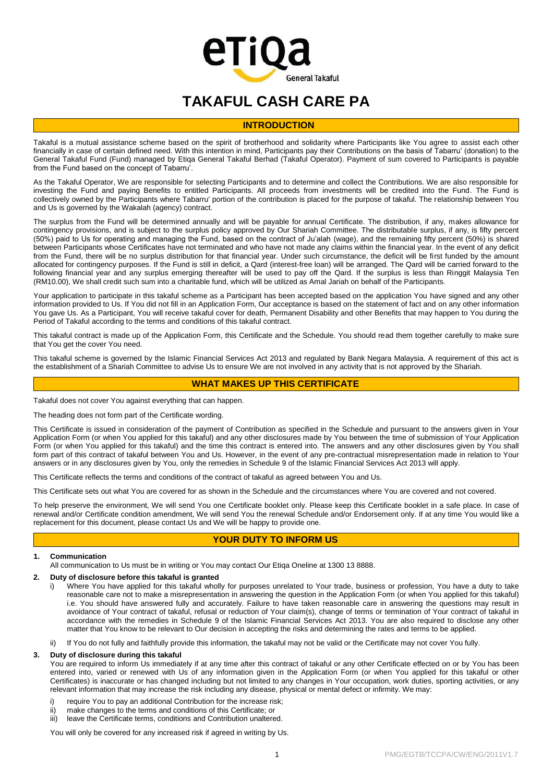# eTiQa **General Takaful**

# **TAKAFUL CASH CARE PA**

# **INTRODUCTION**

Takaful is a mutual assistance scheme based on the spirit of brotherhood and solidarity where Participants like You agree to assist each other financially in case of certain defined need. With this intention in mind, Participants pay their Contributions on the basis of Tabarru' (donation) to the General Takaful Fund (Fund) managed by Etiqa General Takaful Berhad (Takaful Operator). Payment of sum covered to Participants is payable from the Fund based on the concept of Tabarru'.

As the Takaful Operator, We are responsible for selecting Participants and to determine and collect the Contributions. We are also responsible for investing the Fund and paying Benefits to entitled Participants. All proceeds from investments will be credited into the Fund. The Fund is collectively owned by the Participants where Tabarru' portion of the contribution is placed for the purpose of takaful. The relationship between You and Us is governed by the Wakalah (agency) contract.

The surplus from the Fund will be determined annually and will be payable for annual Certificate. The distribution, if any, makes allowance for contingency provisions, and is subject to the surplus policy approved by Our Shariah Committee. The distributable surplus, if any, is fifty percent (50%) paid to Us for operating and managing the Fund, based on the contract of Ju'alah (wage), and the remaining fifty percent (50%) is shared between Participants whose Certificates have not terminated and who have not made any claims within the financial year. In the event of any deficit from the Fund, there will be no surplus distribution for that financial year. Under such circumstance, the deficit will be first funded by the amount allocated for contingency purposes. If the Fund is still in deficit, a Qard (interest-free loan) will be arranged. The Qard will be carried forward to the following financial year and any surplus emerging thereafter will be used to pay off the Qard. If the surplus is less than Ringgit Malaysia Ten (RM10.00), We shall credit such sum into a charitable fund, which will be utilized as Amal Jariah on behalf of the Participants.

Your application to participate in this takaful scheme as a Participant has been accepted based on the application You have signed and any other information provided to Us. If You did not fill in an Application Form, Our acceptance is based on the statement of fact and on any other information You gave Us. As a Participant, You will receive takaful cover for death, Permanent Disability and other Benefits that may happen to You during the Period of Takaful according to the terms and conditions of this takaful contract.

This takaful contract is made up of the Application Form, this Certificate and the Schedule. You should read them together carefully to make sure that You get the cover You need.

This takaful scheme is governed by the Islamic Financial Services Act 2013 and regulated by Bank Negara Malaysia. A requirement of this act is the establishment of a Shariah Committee to advise Us to ensure We are not involved in any activity that is not approved by the Shariah.

# **WHAT MAKES UP THIS CERTIFICATE**

Takaful does not cover You against everything that can happen.

The heading does not form part of the Certificate wording.

This Certificate is issued in consideration of the payment of Contribution as specified in the Schedule and pursuant to the answers given in Your Application Form (or when You applied for this takaful) and any other disclosures made by You between the time of submission of Your Application Form (or when You applied for this takaful) and the time this contract is entered into. The answers and any other disclosures given by You shall form part of this contract of takaful between You and Us. However, in the event of any pre-contractual misrepresentation made in relation to Your answers or in any disclosures given by You, only the remedies in Schedule 9 of the Islamic Financial Services Act 2013 will apply.

This Certificate reflects the terms and conditions of the contract of takaful as agreed between You and Us.

This Certificate sets out what You are covered for as shown in the Schedule and the circumstances where You are covered and not covered.

To help preserve the environment, We will send You one Certificate booklet only. Please keep this Certificate booklet in a safe place. In case of renewal and/or Certificate condition amendment, We will send You the renewal Schedule and/or Endorsement only. If at any time You would like a replacement for this document, please contact Us and We will be happy to provide one.

# **YOUR DUTY TO INFORM US**

# **1. Communication**

All communication to Us must be in writing or You may contact Our Etiqa Oneline at 1300 13 8888.

# **2. Duty of disclosure before this takaful is granted**

- i) Where You have applied for this takaful wholly for purposes unrelated to Your trade, business or profession, You have a duty to take reasonable care not to make a misrepresentation in answering the question in the Application Form (or when You applied for this takaful) i.e. You should have answered fully and accurately. Failure to have taken reasonable care in answering the questions may result in avoidance of Your contract of takaful, refusal or reduction of Your claim(s), change of terms or termination of Your contract of takaful in accordance with the remedies in Schedule 9 of the Islamic Financial Services Act 2013. You are also required to disclose any other matter that You know to be relevant to Our decision in accepting the risks and determining the rates and terms to be applied.
- ii) If You do not fully and faithfully provide this information, the takaful may not be valid or the Certificate may not cover You fully.

# **3. Duty of disclosure during this takaful**

You are required to inform Us immediately if at any time after this contract of takaful or any other Certificate effected on or by You has been entered into, varied or renewed with Us of any information given in the Application Form (or when You applied for this takaful or other Certificates) is inaccurate or has changed including but not limited to any changes in Your occupation, work duties, sporting activities, or any relevant information that may increase the risk including any disease, physical or mental defect or infirmity. We may:

- i) require You to pay an additional Contribution for the increase risk;
- ii) make changes to the terms and conditions of this Certificate; or
- iii) leave the Certificate terms, conditions and Contribution unaltered.

You will only be covered for any increased risk if agreed in writing by Us.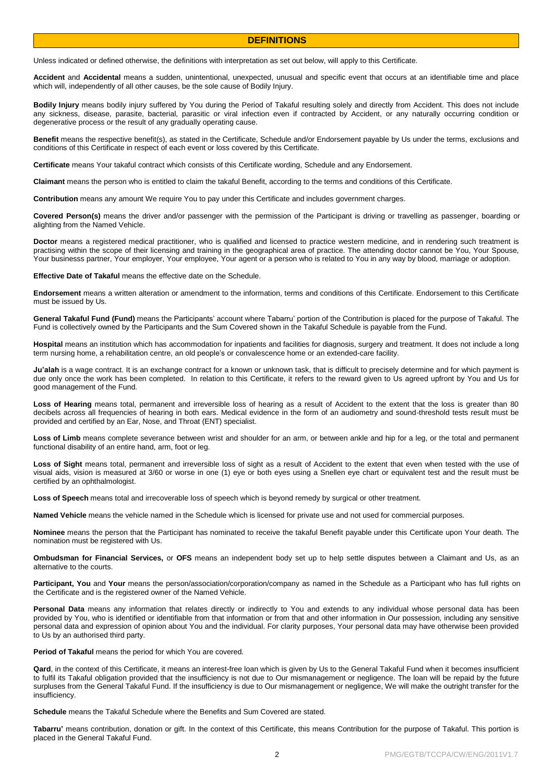# **DEFINITIONS**

Unless indicated or defined otherwise, the definitions with interpretation as set out below, will apply to this Certificate.

**Accident** and **Accidental** means a sudden, unintentional, unexpected, unusual and specific event that occurs at an identifiable time and place which will, independently of all other causes, be the sole cause of Bodily Injury.

**Bodily Injury** means bodily injury suffered by You during the Period of Takaful resulting solely and directly from Accident. This does not include any sickness, disease, parasite, bacterial, parasitic or viral infection even if contracted by Accident, or any naturally occurring condition or degenerative process or the result of any gradually operating cause.

**Benefit** means the respective benefit(s), as stated in the Certificate, Schedule and/or Endorsement payable by Us under the terms, exclusions and conditions of this Certificate in respect of each event or loss covered by this Certificate.

**Certificate** means Your takaful contract which consists of this Certificate wording, Schedule and any Endorsement.

**Claimant** means the person who is entitled to claim the takaful Benefit, according to the terms and conditions of this Certificate.

**Contribution** means any amount We require You to pay under this Certificate and includes government charges.

**Covered Person(s)** means the driver and/or passenger with the permission of the Participant is driving or travelling as passenger, boarding or alighting from the Named Vehicle.

**Doctor** means a registered medical practitioner, who is qualified and licensed to practice western medicine, and in rendering such treatment is practising within the scope of their licensing and training in the geographical area of practice. The attending doctor cannot be You, Your Spouse, Your businesss partner, Your employer, Your employee, Your agent or a person who is related to You in any way by blood, marriage or adoption.

**Effective Date of Takaful** means the effective date on the Schedule.

**Endorsement** means a written alteration or amendment to the information, terms and conditions of this Certificate. Endorsement to this Certificate must be issued by Us.

**General Takaful Fund (Fund)** means the Participants' account where Tabarru' portion of the Contribution is placed for the purpose of Takaful. The Fund is collectively owned by the Participants and the Sum Covered shown in the Takaful Schedule is payable from the Fund.

**Hospital** means an institution which has accommodation for inpatients and facilities for diagnosis, surgery and treatment. It does not include a long term nursing home, a rehabilitation centre, an old people's or convalescence home or an extended-care facility.

**Ju'alah** is a wage contract. It is an exchange contract for a known or unknown task, that is difficult to precisely determine and for which payment is due only once the work has been completed. In relation to this Certificate, it refers to the reward given to Us agreed upfront by You and Us for good management of the Fund.

**Loss of Hearing** means total, permanent and irreversible loss of hearing as a result of Accident to the extent that the loss is greater than 80 decibels across all frequencies of hearing in both ears. Medical evidence in the form of an audiometry and sound-threshold tests result must be provided and certified by an Ear, Nose, and Throat (ENT) specialist.

**Loss of Limb** means complete severance between wrist and shoulder for an arm, or between ankle and hip for a leg, or the total and permanent functional disability of an entire hand, arm, foot or leg.

**Loss of Sight** means total, permanent and irreversible loss of sight as a result of Accident to the extent that even when tested with the use of visual aids, vision is measured at 3/60 or worse in one (1) eye or both eyes using a Snellen eye chart or equivalent test and the result must be certified by an ophthalmologist.

**Loss of Speech** means total and irrecoverable loss of speech which is beyond remedy by surgical or other treatment.

**Named Vehicle** means the vehicle named in the Schedule which is licensed for private use and not used for commercial purposes.

**Nominee** means the person that the Participant has nominated to receive the takaful Benefit payable under this Certificate upon Your death. The nomination must be registered with Us.

**Ombudsman for Financial Services,** or **OFS** means an independent body set up to help settle disputes between a Claimant and Us, as an alternative to the courts.

**Participant, You** and **Your** means the person/association/corporation/company as named in the Schedule as a Participant who has full rights on the Certificate and is the registered owner of the Named Vehicle.

**Personal Data** means any information that relates directly or indirectly to You and extends to any individual whose personal data has been provided by You, who is identified or identifiable from that information or from that and other information in Our possession, including any sensitive personal data and expression of opinion about You and the individual. For clarity purposes, Your personal data may have otherwise been provided to Us by an authorised third party.

**Period of Takaful** means the period for which You are covered.

**Qard**, in the context of this Certificate, it means an interest-free loan which is given by Us to the General Takaful Fund when it becomes insufficient to fulfil its Takaful obligation provided that the insufficiency is not due to Our mismanagement or negligence. The loan will be repaid by the future surpluses from the General Takaful Fund. If the insufficiency is due to Our mismanagement or negligence, We will make the outright transfer for the insufficiency.

**Schedule** means the Takaful Schedule where the Benefits and Sum Covered are stated.

**Tabarru'** means contribution, donation or gift. In the context of this Certificate, this means Contribution for the purpose of Takaful. This portion is placed in the General Takaful Fund.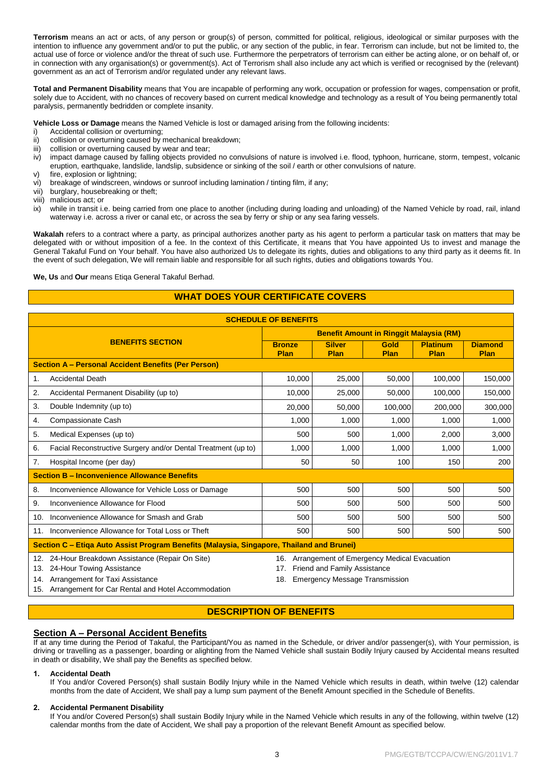**Terrorism** means an act or acts, of any person or group(s) of person, committed for political, religious, ideological or similar purposes with the intention to influence any government and/or to put the public, or any section of the public, in fear. Terrorism can include, but not be limited to, the actual use of force or violence and/or the threat of such use. Furthermore the perpetrators of terrorism can either be acting alone, or on behalf of, or in connection with any organisation(s) or government(s). Act of Terrorism shall also include any act which is verified or recognised by the (relevant) government as an act of Terrorism and/or regulated under any relevant laws.

**Total and Permanent Disability** means that You are incapable of performing any work, occupation or profession for wages, compensation or profit, solely due to Accident, with no chances of recovery based on current medical knowledge and technology as a result of You being permanently total paralysis, permanently bedridden or complete insanity.

**Vehicle Loss or Damage** means the Named Vehicle is lost or damaged arising from the following incidents:

- i) Accidental collision or overturning;<br>ii) collision or overturning caused by
- ii) collision or overturning caused by mechanical breakdown;<br>iii) collision or overturning caused by wear and tear:
- collision or overturning caused by wear and tear:
- iv) impact damage caused by falling objects provided no convulsions of nature is involved i.e. flood, typhoon, hurricane, storm, tempest, volcanic eruption, earthquake, landslide, landslip, subsidence or sinking of the soil / earth or other convulsions of nature.
- fire, explosion or lightning;
- vi) breakage of windscreen, windows or sunroof including lamination / tinting film, if any;
- vii) burglary, housebreaking or theft;
- viii) malicious act; or
- ix) while in transit i.e. being carried from one place to another (including during loading and unloading) of the Named Vehicle by road, rail, inland waterway i.e. across a river or canal etc, or across the sea by ferry or ship or any sea faring vessels.

**Wakalah** refers to a contract where a party, as principal authorizes another party as his agent to perform a particular task on matters that may be delegated with or without imposition of a fee. In the context of this Certificate, it means that You have appointed Us to invest and manage the General Takaful Fund on Your behalf. You have also authorized Us to delegate its rights, duties and obligations to any third party as it deems fit. In the event of such delegation, We will remain liable and responsible for all such rights, duties and obligations towards You.

# **We, Us** and **Our** means Etiqa General Takaful Berhad.

# **WHAT DOES YOUR CERTIFICATE COVERS**

| <b>SCHEDULE OF BENEFITS</b>                                                               |                                                                                |                                                                                        |                                                |              |                         |                        |  |  |
|-------------------------------------------------------------------------------------------|--------------------------------------------------------------------------------|----------------------------------------------------------------------------------------|------------------------------------------------|--------------|-------------------------|------------------------|--|--|
|                                                                                           |                                                                                |                                                                                        | <b>Benefit Amount in Ringgit Malaysia (RM)</b> |              |                         |                        |  |  |
| <b>BENEFITS SECTION</b>                                                                   |                                                                                | <b>Bronze</b><br>Plan                                                                  | <b>Silver</b><br>Plan                          | Gold<br>Plan | <b>Platinum</b><br>Plan | <b>Diamond</b><br>Plan |  |  |
| <b>Section A - Personal Accident Benefits (Per Person)</b>                                |                                                                                |                                                                                        |                                                |              |                         |                        |  |  |
| 1.                                                                                        | <b>Accidental Death</b>                                                        | 10.000                                                                                 | 25,000                                         | 50,000       | 100,000                 | 150,000                |  |  |
| 2.                                                                                        | Accidental Permanent Disability (up to)                                        | 10.000                                                                                 | 25,000                                         | 50,000       | 100,000                 | 150,000                |  |  |
| 3.                                                                                        | Double Indemnity (up to)                                                       | 20,000                                                                                 | 50,000                                         | 100,000      | 200,000                 | 300,000                |  |  |
| 4.                                                                                        | Compassionate Cash                                                             | 1,000                                                                                  | 1,000                                          | 1,000        | 1,000                   | 1,000                  |  |  |
| 5.                                                                                        | Medical Expenses (up to)                                                       | 500                                                                                    | 500                                            | 1,000        | 2,000                   | 3,000                  |  |  |
| 6.                                                                                        | Facial Reconstructive Surgery and/or Dental Treatment (up to)                  | 1,000                                                                                  | 1,000                                          | 1,000        | 1,000                   | 1,000                  |  |  |
| 7.                                                                                        | Hospital Income (per day)                                                      | 50                                                                                     | 50                                             | 100          | 150                     | 200                    |  |  |
| <b>Section B - Inconvenience Allowance Benefits</b>                                       |                                                                                |                                                                                        |                                                |              |                         |                        |  |  |
| 8.                                                                                        | Inconvenience Allowance for Vehicle Loss or Damage                             | 500                                                                                    | 500                                            | 500          | 500                     | 500                    |  |  |
| 9.                                                                                        | Inconvenience Allowance for Flood                                              | 500                                                                                    | 500                                            | 500          | 500                     | 500                    |  |  |
| 10.                                                                                       | Inconvenience Allowance for Smash and Grab                                     | 500                                                                                    | 500                                            | 500          | 500                     | 500                    |  |  |
| 11.                                                                                       | Inconvenience Allowance for Total Loss or Theft                                | 500                                                                                    | 500                                            | 500          | 500                     | 500                    |  |  |
| Section C – Etiga Auto Assist Program Benefits (Malaysia, Singapore, Thailand and Brunei) |                                                                                |                                                                                        |                                                |              |                         |                        |  |  |
| 12.                                                                                       | 24-Hour Breakdown Assistance (Repair On Site)<br>13. 24-Hour Towing Assistance | Arrangement of Emergency Medical Evacuation<br>16.<br>17. Friend and Family Assistance |                                                |              |                         |                        |  |  |

18. Emergency Message Transmission

15. Arrangement for Car Rental and Hotel Accommodation

# **DESCRIPTION OF BENEFITS**

# **Section A – Personal Accident Benefits**

If at any time during the Period of Takaful, the Participant/You as named in the Schedule, or driver and/or passenger(s), with Your permission, is driving or travelling as a passenger, boarding or alighting from the Named Vehicle shall sustain Bodily Injury caused by Accidental means resulted in death or disability, We shall pay the Benefits as specified below.

# **1. Accidental Death**

If You and/or Covered Person(s) shall sustain Bodily Injury while in the Named Vehicle which results in death, within twelve (12) calendar months from the date of Accident, We shall pay a lump sum payment of the Benefit Amount specified in the Schedule of Benefits.

# **2. Accidental Permanent Disability**

14. Arrangement for Taxi Assistance

If You and/or Covered Person(s) shall sustain Bodily Injury while in the Named Vehicle which results in any of the following, within twelve (12) calendar months from the date of Accident, We shall pay a proportion of the relevant Benefit Amount as specified below.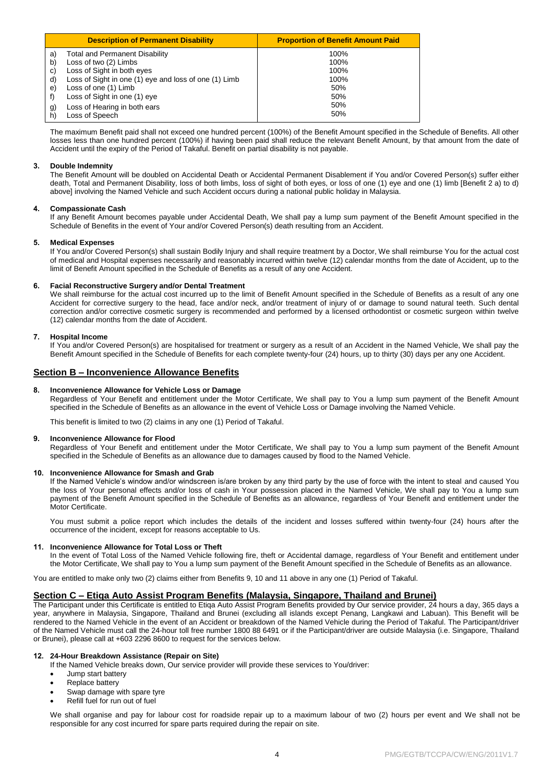|                            | <b>Description of Permanent Disability</b>                                                                                                                             | <b>Proportion of Benefit Amount Paid</b> |
|----------------------------|------------------------------------------------------------------------------------------------------------------------------------------------------------------------|------------------------------------------|
| a)<br>b)<br>C)<br>d)<br>e) | Total and Permanent Disability<br>Loss of two (2) Limbs<br>Loss of Sight in both eyes<br>Loss of Sight in one (1) eye and loss of one (1) Limb<br>Loss of one (1) Limb | 100%<br>100%<br>100%<br>100%<br>50%      |
| g)<br>h)                   | Loss of Sight in one (1) eye<br>Loss of Hearing in both ears<br>Loss of Speech                                                                                         | 50%<br>50%<br>50%                        |

The maximum Benefit paid shall not exceed one hundred percent (100%) of the Benefit Amount specified in the Schedule of Benefits. All other losses less than one hundred percent (100%) if having been paid shall reduce the relevant Benefit Amount, by that amount from the date of Accident until the expiry of the Period of Takaful. Benefit on partial disability is not payable.

# **3. Double Indemnity**

The Benefit Amount will be doubled on Accidental Death or Accidental Permanent Disablement if You and/or Covered Person(s) suffer either death, Total and Permanent Disability, loss of both limbs, loss of sight of both eyes, or loss of one (1) eye and one (1) limb [Benefit 2 a) to d) above] involving the Named Vehicle and such Accident occurs during a national public holiday in Malaysia.

# **4. Compassionate Cash**

If any Benefit Amount becomes payable under Accidental Death, We shall pay a lump sum payment of the Benefit Amount specified in the Schedule of Benefits in the event of Your and/or Covered Person(s) death resulting from an Accident.

# **5. Medical Expenses**

If You and/or Covered Person(s) shall sustain Bodily Injury and shall require treatment by a Doctor, We shall reimburse You for the actual cost of medical and Hospital expenses necessarily and reasonably incurred within twelve (12) calendar months from the date of Accident, up to the limit of Benefit Amount specified in the Schedule of Benefits as a result of any one Accident.

# **6. Facial Reconstructive Surgery and/or Dental Treatment**

We shall reimburse for the actual cost incurred up to the limit of Benefit Amount specified in the Schedule of Benefits as a result of any one Accident for corrective surgery to the head, face and/or neck, and/or treatment of injury of or damage to sound natural teeth. Such dental correction and/or corrective cosmetic surgery is recommended and performed by a licensed orthodontist or cosmetic surgeon within twelve (12) calendar months from the date of Accident.

# **7. Hospital Income**

If You and/or Covered Person(s) are hospitalised for treatment or surgery as a result of an Accident in the Named Vehicle, We shall pay the Benefit Amount specified in the Schedule of Benefits for each complete twenty-four (24) hours, up to thirty (30) days per any one Accident.

# **Section B – Inconvenience Allowance Benefits**

#### **8. Inconvenience Allowance for Vehicle Loss or Damage**

Regardless of Your Benefit and entitlement under the Motor Certificate, We shall pay to You a lump sum payment of the Benefit Amount specified in the Schedule of Benefits as an allowance in the event of Vehicle Loss or Damage involving the Named Vehicle.

This benefit is limited to two (2) claims in any one (1) Period of Takaful.

#### **9. Inconvenience Allowance for Flood**

Regardless of Your Benefit and entitlement under the Motor Certificate, We shall pay to You a lump sum payment of the Benefit Amount specified in the Schedule of Benefits as an allowance due to damages caused by flood to the Named Vehicle.

#### **10. Inconvenience Allowance for Smash and Grab**

If the Named Vehicle's window and/or windscreen is/are broken by any third party by the use of force with the intent to steal and caused You the loss of Your personal effects and/or loss of cash in Your possession placed in the Named Vehicle, We shall pay to You a lump sum payment of the Benefit Amount specified in the Schedule of Benefits as an allowance, regardless of Your Benefit and entitlement under the Motor Certificate.

You must submit a police report which includes the details of the incident and losses suffered within twenty-four (24) hours after the occurrence of the incident, except for reasons acceptable to Us.

#### **11. Inconvenience Allowance for Total Loss or Theft**

In the event of Total Loss of the Named Vehicle following fire, theft or Accidental damage, regardless of Your Benefit and entitlement under the Motor Certificate, We shall pay to You a lump sum payment of the Benefit Amount specified in the Schedule of Benefits as an allowance.

You are entitled to make only two (2) claims either from Benefits 9, 10 and 11 above in any one (1) Period of Takaful.

# **Section C – Etiqa Auto Assist Program Benefits (Malaysia, Singapore, Thailand and Brunei)**

The Participant under this Certificate is entitled to Etiqa Auto Assist Program Benefits provided by Our service provider, 24 hours a day, 365 days a year, anywhere in Malaysia, Singapore, Thailand and Brunei (excluding all islands except Penang, Langkawi and Labuan). This Benefit will be rendered to the Named Vehicle in the event of an Accident or breakdown of the Named Vehicle during the Period of Takaful. The Participant/driver of the Named Vehicle must call the 24-hour toll free number 1800 88 6491 or if the Participant/driver are outside Malaysia (i.e. Singapore, Thailand or Brunei), please call at +603 2296 8600 to request for the services below.

# **12. 24-Hour Breakdown Assistance (Repair on Site)**

If the Named Vehicle breaks down, Our service provider will provide these services to You/driver:

- Jump start battery
- Replace battery
- Swap damage with spare tyre
- Refill fuel for run out of fuel

We shall organise and pay for labour cost for roadside repair up to a maximum labour of two (2) hours per event and We shall not be responsible for any cost incurred for spare parts required during the repair on site.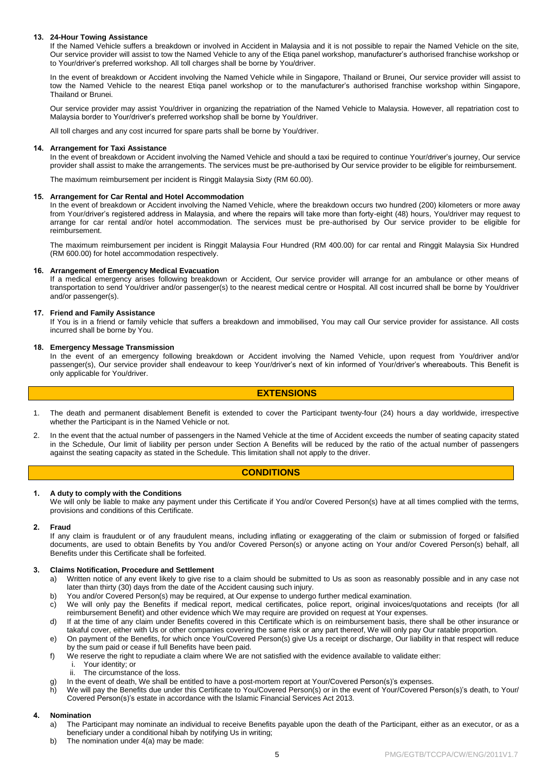# **13. 24-Hour Towing Assistance**

If the Named Vehicle suffers a breakdown or involved in Accident in Malaysia and it is not possible to repair the Named Vehicle on the site, Our service provider will assist to tow the Named Vehicle to any of the Etiqa panel workshop, manufacturer's authorised franchise workshop or to Your/driver's preferred workshop. All toll charges shall be borne by You/driver.

In the event of breakdown or Accident involving the Named Vehicle while in Singapore, Thailand or Brunei, Our service provider will assist to tow the Named Vehicle to the nearest Etiqa panel workshop or to the manufacturer's authorised franchise workshop within Singapore, Thailand or Brunei.

Our service provider may assist You/driver in organizing the repatriation of the Named Vehicle to Malaysia. However, all repatriation cost to Malaysia border to Your/driver's preferred workshop shall be borne by You/driver.

All toll charges and any cost incurred for spare parts shall be borne by You/driver.

# **14. Arrangement for Taxi Assistance**

In the event of breakdown or Accident involving the Named Vehicle and should a taxi be required to continue Your/driver's journey, Our service provider shall assist to make the arrangements. The services must be pre-authorised by Our service provider to be eligible for reimbursement.

The maximum reimbursement per incident is Ringgit Malaysia Sixty (RM 60.00).

# **15. Arrangement for Car Rental and Hotel Accommodation**

In the event of breakdown or Accident involving the Named Vehicle, where the breakdown occurs two hundred (200) kilometers or more away from Your/driver's registered address in Malaysia, and where the repairs will take more than forty-eight (48) hours, You/driver may request to arrange for car rental and/or hotel accommodation. The services must be pre-authorised by Our service provider to be eligible for reimbursement.

The maximum reimbursement per incident is Ringgit Malaysia Four Hundred (RM 400.00) for car rental and Ringgit Malaysia Six Hundred (RM 600.00) for hotel accommodation respectively.

# **16. Arrangement of Emergency Medical Evacuation**

If a medical emergency arises following breakdown or Accident, Our service provider will arrange for an ambulance or other means of transportation to send You/driver and/or passenger(s) to the nearest medical centre or Hospital. All cost incurred shall be borne by You/driver and/or passenger(s).

# **17. Friend and Family Assistance**

If You is in a friend or family vehicle that suffers a breakdown and immobilised, You may call Our service provider for assistance. All costs incurred shall be borne by You.

# **18. Emergency Message Transmission**

In the event of an emergency following breakdown or Accident involving the Named Vehicle, upon request from You/driver and/or passenger(s), Our service provider shall endeavour to keep Your/driver's next of kin informed of Your/driver's whereabouts. This Benefit is only applicable for You/driver.

# **EXTENSIONS**

- 1. The death and permanent disablement Benefit is extended to cover the Participant twenty-four (24) hours a day worldwide, irrespective whether the Participant is in the Named Vehicle or not.
- 2. In the event that the actual number of passengers in the Named Vehicle at the time of Accident exceeds the number of seating capacity stated in the Schedule, Our limit of liability per person under Section A Benefits will be reduced by the ratio of the actual number of passengers against the seating capacity as stated in the Schedule. This limitation shall not apply to the driver.

# **CONDITIONS**

# **1. A duty to comply with the Conditions**

We will only be liable to make any payment under this Certificate if You and/or Covered Person(s) have at all times complied with the terms, provisions and conditions of this Certificate.

# **2. Fraud**

If any claim is fraudulent or of any fraudulent means, including inflating or exaggerating of the claim or submission of forged or falsified documents, are used to obtain Benefits by You and/or Covered Person(s) or anyone acting on Your and/or Covered Person(s) behalf, all Benefits under this Certificate shall be forfeited.

# **3. Claims Notification, Procedure and Settlement**

- a) Written notice of any event likely to give rise to a claim should be submitted to Us as soon as reasonably possible and in any case not later than thirty (30) days from the date of the Accident causing such injury.
- b) You and/or Covered Person(s) may be required, at Our expense to undergo further medical examination.
- c) We will only pay the Benefits if medical report, medical certificates, police report, original invoices/quotations and receipts (for all reimbursement Benefit) and other evidence which We may require are provided on request at Your expenses.
- d) If at the time of any claim under Benefits covered in this Certificate which is on reimbursement basis, there shall be other insurance or takaful cover, either with Us or other companies covering the same risk or any part thereof, We will only pay Our ratable proportion.
- e) On payment of the Benefits, for which once You/Covered Person(s) give Us a receipt or discharge, Our liability in that respect will reduce by the sum paid or cease if full Benefits have been paid.
- f) We reserve the right to repudiate a claim where We are not satisfied with the evidence available to validate either:
	- i. Your identity; or
	- ii. The circumstance of the loss.
- g) In the event of death, We shall be entitled to have a post-mortem report at Your/Covered Person(s)'s expenses.
- h) We will pay the Benefits due under this Certificate to You/Covered Person(s) or in the event of Your/Covered Person(s)'s death, to Your/ Covered Person(s)'s estate in accordance with the Islamic Financial Services Act 2013.

#### **4. Nomination**

- a) The Participant may nominate an individual to receive Benefits payable upon the death of the Participant, either as an executor, or as a beneficiary under a conditional hibah by notifying Us in writing;
- b) The nomination under 4(a) may be made: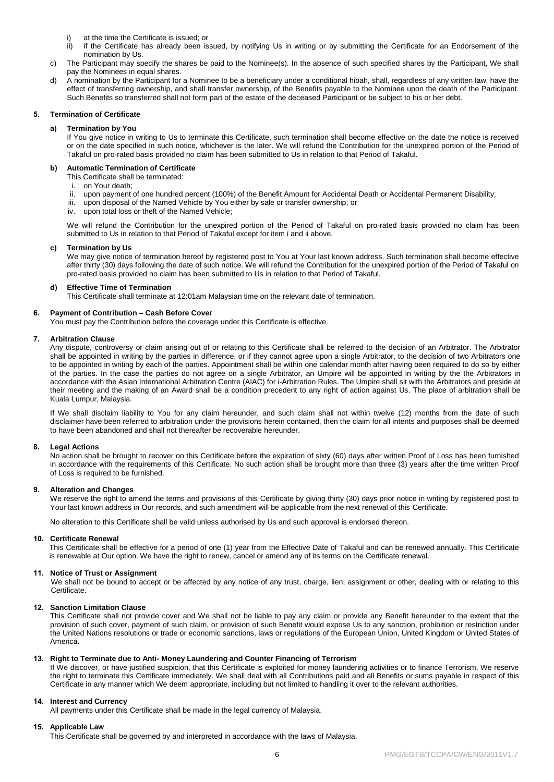- i) at the time the Certificate is issued; or<br>ii) if the Certificate has already been is
- if the Certificate has already been issued, by notifying Us in writing or by submitting the Certificate for an Endorsement of the nomination by Us.
- c) The Participant may specify the shares be paid to the Nominee(s). In the absence of such specified shares by the Participant, We shall pay the Nominees in equal shares.
- d) A nomination by the Participant for a Nominee to be a beneficiary under a conditional hibah, shall, regardless of any written law, have the effect of transferring ownership, and shall transfer ownership, of the Benefits payable to the Nominee upon the death of the Participant. Such Benefits so transferred shall not form part of the estate of the deceased Participant or be subject to his or her debt.

# **5. Termination of Certificate**

# **a) Termination by You**

If You give notice in writing to Us to terminate this Certificate, such termination shall become effective on the date the notice is received or on the date specified in such notice, whichever is the later. We will refund the Contribution for the unexpired portion of the Period of Takaful on pro-rated basis provided no claim has been submitted to Us in relation to that Period of Takaful.

# **b) Automatic Termination of Certificate**

- This Certificate shall be terminated:
- i. on Your death;
- ii. upon payment of one hundred percent (100%) of the Benefit Amount for Accidental Death or Accidental Permanent Disability;
- iii. upon disposal of the Named Vehicle by You either by sale or transfer ownership; or
- iv. upon total loss or theft of the Named Vehicle;

We will refund the Contribution for the unexpired portion of the Period of Takaful on pro-rated basis provided no claim has been submitted to Us in relation to that Period of Takaful except for item i and ii above.

#### **c) Termination by Us**

We may give notice of termination hereof by registered post to You at Your last known address. Such termination shall become effective after thirty (30) days following the date of such notice. We will refund the Contribution for the unexpired portion of the Period of Takaful on pro-rated basis provided no claim has been submitted to Us in relation to that Period of Takaful.

# **d) Effective Time of Termination**

This Certificate shall terminate at 12:01am Malaysian time on the relevant date of termination.

# **6. Payment of Contribution – Cash Before Cover**

You must pay the Contribution before the coverage under this Certificate is effective.

# **7. Arbitration Clause**

Any dispute, controversy or claim arising out of or relating to this Certificate shall be referred to the decision of an Arbitrator. The Arbitrator shall be appointed in writing by the parties in difference, or if they cannot agree upon a single Arbitrator, to the decision of two Arbitrators one to be appointed in writing by each of the parties. Appointment shall be within one calendar month after having been required to do so by either of the parties. In the case the parties do not agree on a single Arbitrator, an Umpire will be appointed in writing by the the Arbitrators in accordance with the Asian International Arbitration Centre (AIAC) for i-Arbitration Rules. The Umpire shall sit with the Arbitrators and preside at their meeting and the making of an Award shall be a condition precedent to any right of action against Us. The place of arbitration shall be Kuala Lumpur, Malaysia.

If We shall disclaim liability to You for any claim hereunder, and such claim shall not within twelve (12) months from the date of such disclaimer have been referred to arbitration under the provisions herein contained, then the claim for all intents and purposes shall be deemed to have been abandoned and shall not thereafter be recoverable hereunder.

# **8. Legal Actions**

No action shall be brought to recover on this Certificate before the expiration of sixty (60) days after written Proof of Loss has been furnished in accordance with the requirements of this Certificate. No such action shall be brought more than three (3) years after the time written Proof of Loss is required to be furnished.

# **9. Alteration and Changes**

We reserve the right to amend the terms and provisions of this Certificate by giving thirty (30) days prior notice in writing by registered post to Your last known address in Our records, and such amendment will be applicable from the next renewal of this Certificate.

No alteration to this Certificate shall be valid unless authorised by Us and such approval is endorsed thereon.

#### **10. Certificate Renewal**

This Certificate shall be effective for a period of one (1) year from the Effective Date of Takaful and can be renewed annually. This Certificate is renewable at Our option. We have the right to renew, cancel or amend any of its terms on the Certificate renewal.

# **11. Notice of Trust or Assignment**

We shall not be bound to accept or be affected by any notice of any trust, charge, lien, assignment or other, dealing with or relating to this Certificate.

# **12. Sanction Limitation Clause**

This Certificate shall not provide cover and We shall not be liable to pay any claim or provide any Benefit hereunder to the extent that the provision of such cover, payment of such claim, or provision of such Benefit would expose Us to any sanction, prohibition or restriction under the United Nations resolutions or trade or economic sanctions, laws or regulations of the European Union, United Kingdom or United States of America.

# **13. Right to Terminate due to Anti- Money Laundering and Counter Financing of Terrorism**

If We discover, or have justified suspicion, that this Certificate is exploited for money laundering activities or to finance Terrorism, We reserve the right to terminate this Certificate immediately. We shall deal with all Contributions paid and all Benefits or sums payable in respect of this Certificate in any manner which We deem appropriate, including but not limited to handling it over to the relevant authorities.

# **14. Interest and Currency**

All payments under this Certificate shall be made in the legal currency of Malaysia.

#### **15. Applicable Law**

This Certificate shall be governed by and interpreted in accordance with the laws of Malaysia.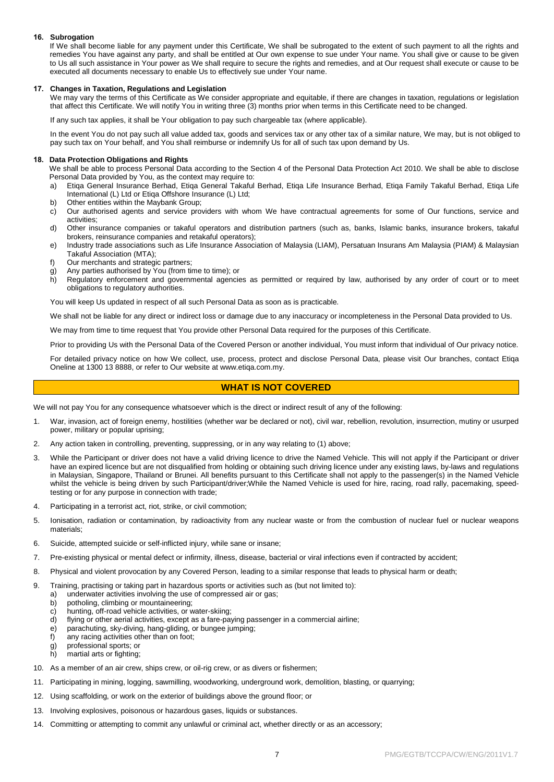# **16. Subrogation**

If We shall become liable for any payment under this Certificate, We shall be subrogated to the extent of such payment to all the rights and remedies You have against any party, and shall be entitled at Our own expense to sue under Your name. You shall give or cause to be given to Us all such assistance in Your power as We shall require to secure the rights and remedies, and at Our request shall execute or cause to be executed all documents necessary to enable Us to effectively sue under Your name.

# **17. Changes in Taxation, Regulations and Legislation**

We may vary the terms of this Certificate as We consider appropriate and equitable, if there are changes in taxation, regulations or legislation that affect this Certificate. We will notify You in writing three (3) months prior when terms in this Certificate need to be changed.

If any such tax applies, it shall be Your obligation to pay such chargeable tax (where applicable).

In the event You do not pay such all value added tax, goods and services tax or any other tax of a similar nature, We may, but is not obliged to pay such tax on Your behalf, and You shall reimburse or indemnify Us for all of such tax upon demand by Us.

# **18. Data Protection Obligations and Rights**

We shall be able to process Personal Data according to the Section 4 of the Personal Data Protection Act 2010. We shall be able to disclose Personal Data provided by You, as the context may require to:

- a) Etiqa General Insurance Berhad, Etiqa General Takaful Berhad, Etiqa Life Insurance Berhad, Etiqa Family Takaful Berhad, Etiqa Life International (L) Ltd or Etiqa Offshore Insurance (L) Ltd;
- b) Other entities within the Maybank Group;
- c) Our authorised agents and service providers with whom We have contractual agreements for some of Our functions, service and activities;
- d) Other insurance companies or takaful operators and distribution partners (such as, banks, Islamic banks, insurance brokers, takaful brokers, reinsurance companies and retakaful operators);
- e) Industry trade associations such as Life Insurance Association of Malaysia (LIAM), Persatuan Insurans Am Malaysia (PIAM) & Malaysian Takaful Association (MTA);
- f) Our merchants and strategic partners;
- g) Any parties authorised by You (from time to time); or
- h) Regulatory enforcement and governmental agencies as permitted or required by law, authorised by any order of court or to meet obligations to regulatory authorities.

You will keep Us updated in respect of all such Personal Data as soon as is practicable.

We shall not be liable for any direct or indirect loss or damage due to any inaccuracy or incompleteness in the Personal Data provided to Us.

We may from time to time request that You provide other Personal Data required for the purposes of this Certificate.

Prior to providing Us with the Personal Data of the Covered Person or another individual, You must inform that individual of Our privacy notice.

For detailed privacy notice on how We collect, use, process, protect and disclose Personal Data, please visit Our branches, contact Etiqa Oneline at 1300 13 8888, or refer to Our website at [www.etiqa.com.my.](http://www.etiqa.com.my/)

# **WHAT IS NOT COVERED**

We will not pay You for any consequence whatsoever which is the direct or indirect result of any of the following:

- 1. War, invasion, act of foreign enemy, hostilities (whether war be declared or not), civil war, rebellion, revolution, insurrection, mutiny or usurped power, military or popular uprising;
- 2. Any action taken in controlling, preventing, suppressing, or in any way relating to (1) above;
- 3. While the Participant or driver does not have a valid driving licence to drive the Named Vehicle. This will not apply if the Participant or driver have an expired licence but are not disqualified from holding or obtaining such driving licence under any existing laws, by-laws and regulations in Malaysian, Singapore, Thailand or Brunei. All benefits pursuant to this Certificate shall not apply to the passenger(s) in the Named Vehicle whilst the vehicle is being driven by such Participant/driver;While the Named Vehicle is used for hire, racing, road rally, pacemaking, speedtesting or for any purpose in connection with trade;
- 4. Participating in a terrorist act, riot, strike, or civil commotion;
- 5. Ionisation, radiation or contamination, by radioactivity from any nuclear waste or from the combustion of nuclear fuel or nuclear weapons materials;
- 6. Suicide, attempted suicide or self-inflicted injury, while sane or insane;
- 7. Pre-existing physical or mental defect or infirmity, illness, disease, bacterial or viral infections even if contracted by accident;
- 8. Physical and violent provocation by any Covered Person, leading to a similar response that leads to physical harm or death;
- 9. Training, practising or taking part in hazardous sports or activities such as (but not limited to):
	- a) underwater activities involving the use of compressed air or gas;
		- b) potholing, climbing or mountaineering;
	- c) hunting, off-road vehicle activities, or water-skiing;
	- d) flying or other aerial activities, except as a fare-paying passenger in a commercial airline;
	- e) parachuting, sky-diving, hang-gliding, or bungee jumping;
	- f) any racing activities other than on foot;
	- g) professional sports; or
	- martial arts or fighting;
- 10. As a member of an air crew, ships crew, or oil-rig crew, or as divers or fishermen;
- 11. Participating in mining, logging, sawmilling, woodworking, underground work, demolition, blasting, or quarrying;
- 12. Using scaffolding, or work on the exterior of buildings above the ground floor; or
- 13. Involving explosives, poisonous or hazardous gases, liquids or substances.
- 14. Committing or attempting to commit any unlawful or criminal act, whether directly or as an accessory;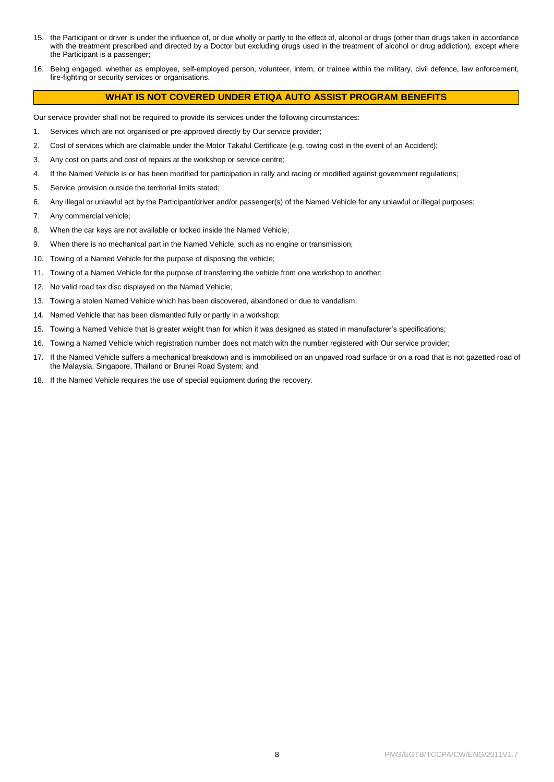- 15. the Participant or driver is under the influence of, or due wholly or partly to the effect of, alcohol or drugs (other than drugs taken in accordance with the treatment prescribed and directed by a Doctor but excluding drugs used in the treatment of alcohol or drug addiction), except where the Participant is a passenger;
- 16. Being engaged, whether as employee, self-employed person, volunteer, intern, or trainee within the military, civil defence, law enforcement, fire-fighting or security services or organisations.

# **WHAT IS NOT COVERED UNDER ETIQA AUTO ASSIST PROGRAM BENEFITS**

Our service provider shall not be required to provide its services under the following circumstances:

- 1. Services which are not organised or pre-approved directly by Our service provider;
- 2. Cost of services which are claimable under the Motor Takaful Certificate (e.g. towing cost in the event of an Accident);
- 3. Any cost on parts and cost of repairs at the workshop or service centre;
- 4. If the Named Vehicle is or has been modified for participation in rally and racing or modified against government regulations;
- 5. Service provision outside the territorial limits stated;
- 6. Any illegal or unlawful act by the Participant/driver and/or passenger(s) of the Named Vehicle for any unlawful or illegal purposes;
- 7. Any commercial vehicle;
- 8. When the car keys are not available or locked inside the Named Vehicle;
- 9. When there is no mechanical part in the Named Vehicle, such as no engine or transmission;
- 10. Towing of a Named Vehicle for the purpose of disposing the vehicle;
- 11. Towing of a Named Vehicle for the purpose of transferring the vehicle from one workshop to another;
- 12. No valid road tax disc displayed on the Named Vehicle;
- 13. Towing a stolen Named Vehicle which has been discovered, abandoned or due to vandalism;
- 14. Named Vehicle that has been dismantled fully or partly in a workshop;
- 15. Towing a Named Vehicle that is greater weight than for which it was designed as stated in manufacturer's specifications;
- 16. Towing a Named Vehicle which registration number does not match with the number registered with Our service provider;
- 17. If the Named Vehicle suffers a mechanical breakdown and is immobilised on an unpaved road surface or on a road that is not gazetted road of the Malaysia, Singapore, Thailand or Brunei Road System; and
- 18. If the Named Vehicle requires the use of special equipment during the recovery.